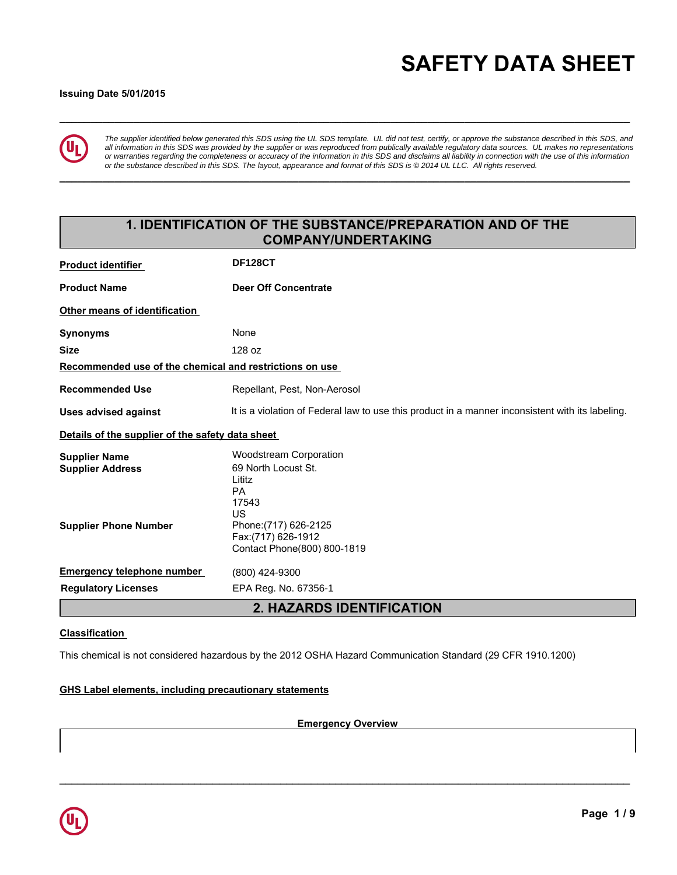# **\_\_\_\_\_\_\_\_\_\_\_\_\_\_\_\_\_\_\_\_\_\_\_\_\_\_\_\_\_\_\_\_\_\_\_\_\_\_\_\_\_\_\_\_\_\_\_\_\_\_\_\_\_\_\_\_\_\_\_\_\_\_\_\_\_\_\_\_\_\_\_\_\_\_\_\_\_\_\_\_\_\_\_\_\_\_\_\_\_\_\_\_\_ SAFETY DATA SHEET**

#### **Issuing Date 5/01/2015**



*The supplier identified below generated this SDS using the UL SDS template. UL did not test, certify, or approve the substance described in this SDS, and all information in this SDS was provided by the supplier or was reproduced from publically available regulatory data sources. UL makes no representations or warranties regarding the completeness or accuracy of the information in this SDS and disclaims all liability in connection with the use of this information or the substance described in this SDS. The layout, appearance and format of this SDS is © 2014 UL LLC. All rights reserved.*

**\_\_\_\_\_\_\_\_\_\_\_\_\_\_\_\_\_\_\_\_\_\_\_\_\_\_\_\_\_\_\_\_\_\_\_\_\_\_\_\_\_\_\_\_\_\_\_\_\_\_\_\_\_\_\_\_\_\_\_\_\_\_\_\_\_\_\_\_\_\_\_\_\_\_\_\_\_\_\_\_\_\_\_\_\_\_\_\_\_\_\_\_\_**

# **1. IDENTIFICATION OF THE SUBSTANCE/PREPARATION AND OF THE COMPANY/UNDERTAKING**

| <b>Product identifier</b>                               | <b>DF128CT</b>                                                                                   |
|---------------------------------------------------------|--------------------------------------------------------------------------------------------------|
| <b>Product Name</b>                                     | Deer Off Concentrate                                                                             |
| Other means of identification                           |                                                                                                  |
| <b>Synonyms</b>                                         | None                                                                                             |
| <b>Size</b>                                             | 128 oz                                                                                           |
| Recommended use of the chemical and restrictions on use |                                                                                                  |
| <b>Recommended Use</b>                                  | Repellant, Pest, Non-Aerosol                                                                     |
| <b>Uses advised against</b>                             | It is a violation of Federal law to use this product in a manner inconsistent with its labeling. |
| Details of the supplier of the safety data sheet        |                                                                                                  |
| <b>Supplier Name</b>                                    | <b>Woodstream Corporation</b>                                                                    |
| <b>Supplier Address</b>                                 | 69 North Locust St.                                                                              |
|                                                         | Lititz<br><b>PA</b>                                                                              |
|                                                         | 17543                                                                                            |
|                                                         | US                                                                                               |
| <b>Supplier Phone Number</b>                            | Phone: (717) 626-2125                                                                            |
|                                                         | Fax: (717) 626-1912                                                                              |
|                                                         | Contact Phone(800) 800-1819                                                                      |
| <b>Emergency telephone number</b>                       | (800) 424-9300                                                                                   |
| <b>Regulatory Licenses</b>                              | EPA Reg. No. 67356-1                                                                             |
|                                                         | 2. HAZARDS IDENTIFICATION                                                                        |

#### **Classification**

This chemical is not considered hazardous by the 2012 OSHA Hazard Communication Standard (29 CFR 1910.1200)

#### **GHS Label elements, including precautionary statements**

**Emergency Overview**

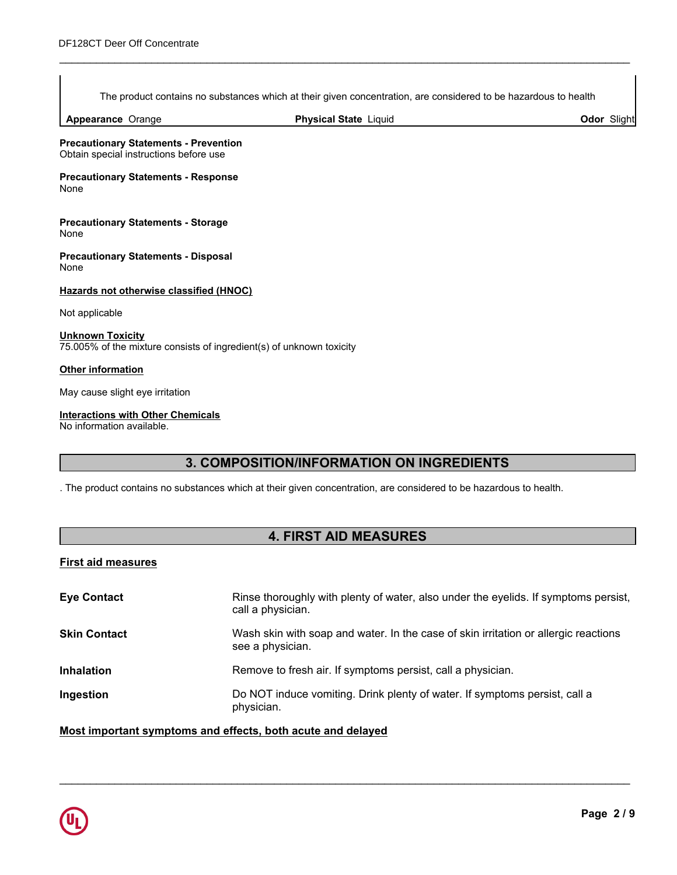The product contains no substances which at their given concentration, are considered to be hazardous to health

\_\_\_\_\_\_\_\_\_\_\_\_\_\_\_\_\_\_\_\_\_\_\_\_\_\_\_\_\_\_\_\_\_\_\_\_\_\_\_\_\_\_\_\_\_\_\_\_\_\_\_\_\_\_\_\_\_\_\_\_\_\_\_\_\_\_\_\_\_\_\_\_\_\_\_\_\_\_\_\_\_\_\_\_\_\_\_\_\_\_\_\_\_

**Appearance** Orange

**Physical State Liquid Contract Contract Contract Contract Contract Contract Contract Contract Contract Contract Contract Contract Contract Contract Contract Contract Contract Contract Contract Contract Contract Contract C** 

**Precautionary Statements - Prevention** Obtain special instructions before use

**Precautionary Statements - Response** None

**Precautionary Statements - Storage** None

**Precautionary Statements - Disposal** None

#### **Hazards not otherwise classified (HNOC)**

Not applicable

**Unknown Toxicity** 75.005% of the mixture consists of ingredient(s) of unknown toxicity

#### **Other information**

May cause slight eye irritation

#### **Interactions with Other Chemicals**

No information available.

# **3. COMPOSITION/INFORMATION ON INGREDIENTS**

. The product contains no substances which at their given concentration, are considered to be hazardous to health.

# **4. FIRST AID MEASURES**

## **First aid measures**

| Rinse thoroughly with plenty of water, also under the eyelids. If symptoms persist,<br>call a physician. |
|----------------------------------------------------------------------------------------------------------|
| Wash skin with soap and water. In the case of skin irritation or allergic reactions<br>see a physician.  |
| Remove to fresh air. If symptoms persist, call a physician.                                              |
| Do NOT induce vomiting. Drink plenty of water. If symptoms persist, call a<br>physician.                 |
|                                                                                                          |

\_\_\_\_\_\_\_\_\_\_\_\_\_\_\_\_\_\_\_\_\_\_\_\_\_\_\_\_\_\_\_\_\_\_\_\_\_\_\_\_\_\_\_\_\_\_\_\_\_\_\_\_\_\_\_\_\_\_\_\_\_\_\_\_\_\_\_\_\_\_\_\_\_\_\_\_\_\_\_\_\_\_\_\_\_\_\_\_\_\_\_\_\_

**Most important symptoms and effects, both acute and delayed**

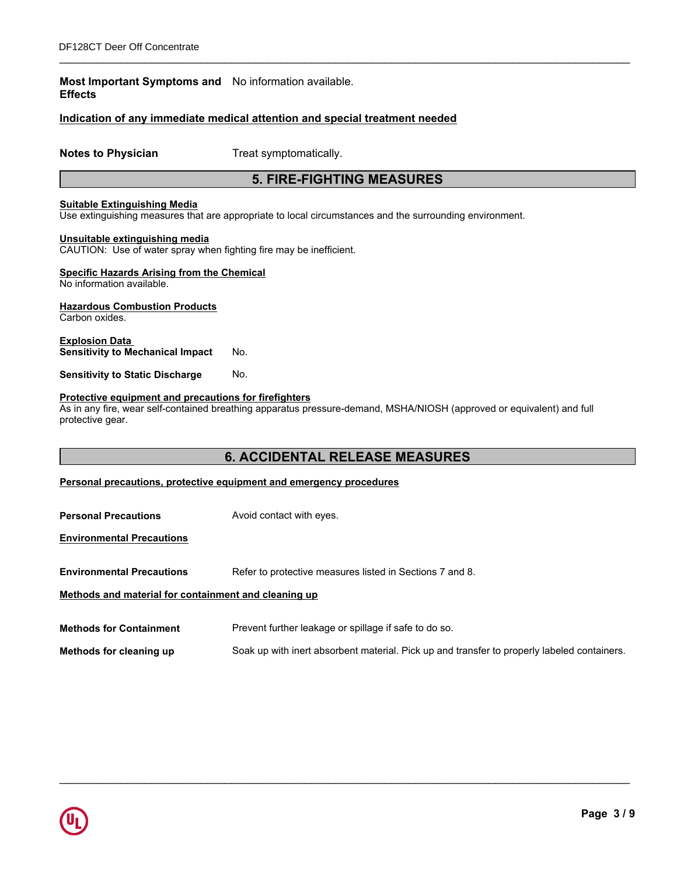## **Most Important Symptoms and** No information available. **Effects**

## **Indication of any immediate medical attention and special treatment needed**

**Notes to Physician** Treat symptomatically.

# **5. FIRE-FIGHTING MEASURES**

\_\_\_\_\_\_\_\_\_\_\_\_\_\_\_\_\_\_\_\_\_\_\_\_\_\_\_\_\_\_\_\_\_\_\_\_\_\_\_\_\_\_\_\_\_\_\_\_\_\_\_\_\_\_\_\_\_\_\_\_\_\_\_\_\_\_\_\_\_\_\_\_\_\_\_\_\_\_\_\_\_\_\_\_\_\_\_\_\_\_\_\_\_

## **Suitable Extinguishing Media**

Use extinguishing measures that are appropriate to local circumstances and the surrounding environment.

#### **Unsuitable extinguishing media**

CAUTION: Use of water spray when fighting fire may be inefficient.

# **Specific Hazards Arising from the Chemical**

No information available.

#### **Hazardous Combustion Products**

Carbon oxides.

**Explosion Data Sensitivity to Mechanical Impact** No.

**Sensitivity to Static Discharge No.** 

#### **Protective equipment and precautions for firefighters**

As in any fire, wear self-contained breathing apparatus pressure-demand, MSHA/NIOSH (approved or equivalent) and full protective gear.

# **6. ACCIDENTAL RELEASE MEASURES**

**Personal precautions, protective equipment and emergency procedures**

| <b>Personal Precautions</b>                          | Avoid contact with eyes.                                                                    |
|------------------------------------------------------|---------------------------------------------------------------------------------------------|
| <b>Environmental Precautions</b>                     |                                                                                             |
| <b>Environmental Precautions</b>                     | Refer to protective measures listed in Sections 7 and 8.                                    |
| Methods and material for containment and cleaning up |                                                                                             |
| <b>Methods for Containment</b>                       | Prevent further leakage or spillage if safe to do so.                                       |
| Methods for cleaning up                              | Soak up with inert absorbent material. Pick up and transfer to properly labeled containers. |

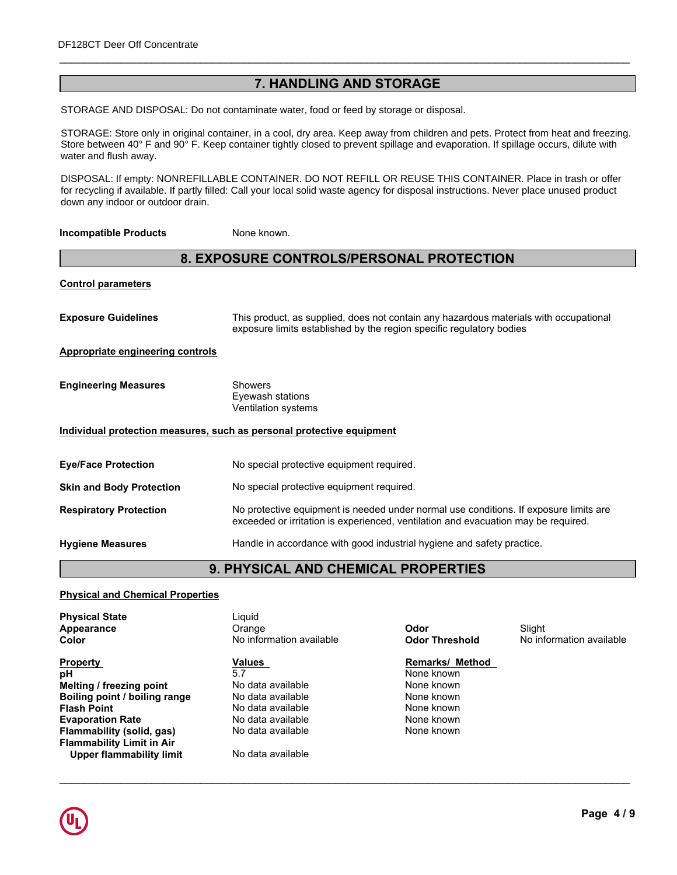# **7. HANDLING AND STORAGE**

\_\_\_\_\_\_\_\_\_\_\_\_\_\_\_\_\_\_\_\_\_\_\_\_\_\_\_\_\_\_\_\_\_\_\_\_\_\_\_\_\_\_\_\_\_\_\_\_\_\_\_\_\_\_\_\_\_\_\_\_\_\_\_\_\_\_\_\_\_\_\_\_\_\_\_\_\_\_\_\_\_\_\_\_\_\_\_\_\_\_\_\_\_

STORAGE AND DISPOSAL: Do not contaminate water, food or feed by storage or disposal.

Store between 40° F and 90° F. Keep container tightly closed to prevent spillage and evaporation. If spillage occurs, dilute with eyes. STORAGE: Store only in original container, in a cool, dry area. Keep away from children and pets. Protect from heat and freezing. water and flush away.

DISPOSAL: If empty: NONREFILLABLE CONTAINER. DO NOT REFILL OR REUSE THIS CONTAINER. Place in trash or offer **Storage** Keep container tightly closed. for recycling if available. If partly filled: Call your local solid waste agency for disposal instructions. Never place unused product down any indoor or outdoor drain.

**Incompatible Products** None known.

# **8. EXPOSURE CONTROLS/PERSONAL PROTECTION**

| <b>Control parameters</b>               |                                                                                                                                                                             |
|-----------------------------------------|-----------------------------------------------------------------------------------------------------------------------------------------------------------------------------|
| <b>Exposure Guidelines</b>              | This product, as supplied, does not contain any hazardous materials with occupational<br>exposure limits established by the region specific regulatory bodies               |
| <b>Appropriate engineering controls</b> |                                                                                                                                                                             |
| <b>Engineering Measures</b>             | <b>Showers</b><br>Eyewash stations<br>Ventilation systems                                                                                                                   |
|                                         | Individual protection measures, such as personal protective equipment                                                                                                       |
| <b>Eye/Face Protection</b>              | No special protective equipment required.                                                                                                                                   |
| <b>Skin and Body Protection</b>         | No special protective equipment required.                                                                                                                                   |
| <b>Respiratory Protection</b>           | No protective equipment is needed under normal use conditions. If exposure limits are<br>exceeded or irritation is experienced, ventilation and evacuation may be required. |
| <b>Hygiene Measures</b>                 | Handle in accordance with good industrial hygiene and safety practice.                                                                                                      |

# **9. PHYSICAL AND CHEMICAL PROPERTIES**

\_\_\_\_\_\_\_\_\_\_\_\_\_\_\_\_\_\_\_\_\_\_\_\_\_\_\_\_\_\_\_\_\_\_\_\_\_\_\_\_\_\_\_\_\_\_\_\_\_\_\_\_\_\_\_\_\_\_\_\_\_\_\_\_\_\_\_\_\_\_\_\_\_\_\_\_\_\_\_\_\_\_\_\_\_\_\_\_\_\_\_\_\_

#### **Physical and Chemical Properties**

| <b>Physical State</b>            | Liguid                   |                        |                   |
|----------------------------------|--------------------------|------------------------|-------------------|
| <b>Appearance</b>                | Orange                   | Odor                   | Slight            |
| Color                            | No information available | <b>Odor Threshold</b>  | No information av |
| <b>Property</b>                  | Values                   | <b>Remarks/ Method</b> |                   |
| рH                               | 5.7                      | None known             |                   |
| Melting / freezing point         | No data available        | None known             |                   |
| Boiling point / boiling range    | No data available        | None known             |                   |
| <b>Flash Point</b>               | No data available        | None known             |                   |
| <b>Evaporation Rate</b>          | No data available        | None known             |                   |
| Flammability (solid, gas)        | No data available        | None known             |                   |
| <b>Flammability Limit in Air</b> |                          |                        |                   |
| Upper flammability limit         | No data available        |                        |                   |
|                                  |                          |                        |                   |



**No information available**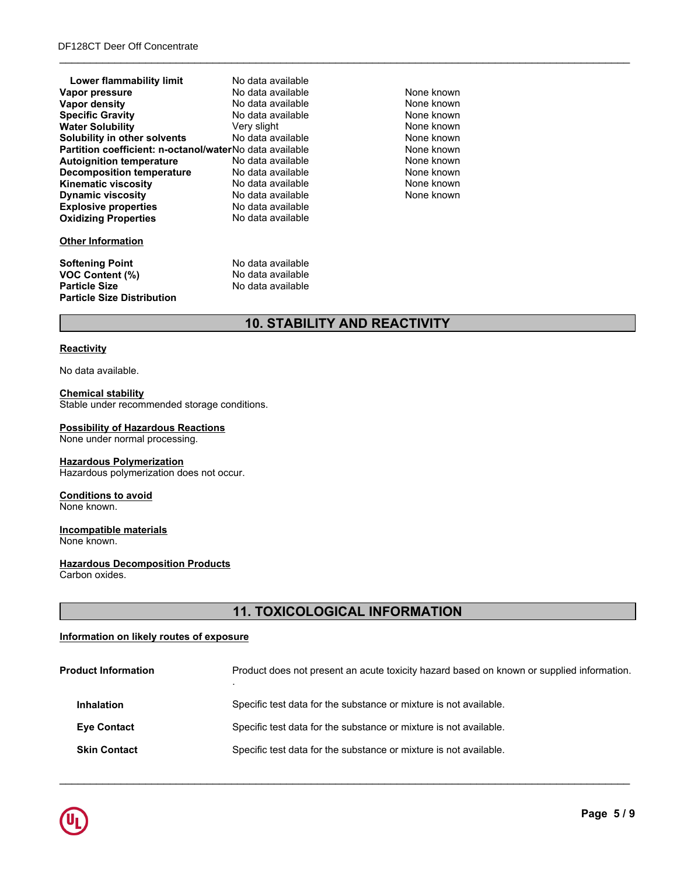| Lower flammability limit                                | No data available |            |  |
|---------------------------------------------------------|-------------------|------------|--|
| Vapor pressure                                          | No data available | None known |  |
| Vapor density                                           | No data available | None known |  |
| <b>Specific Gravity</b>                                 | No data available | None known |  |
| <b>Water Solubility</b>                                 | Very slight       | None known |  |
| Solubility in other solvents                            | No data available | None known |  |
| Partition coefficient: n-octanol/waterNo data available |                   | None known |  |
| <b>Autoignition temperature</b>                         | No data available | None known |  |
| Decomposition temperature                               | No data available | None known |  |
| <b>Kinematic viscosity</b>                              | No data available | None known |  |
| <b>Dynamic viscosity</b>                                | No data available | None known |  |
| <b>Explosive properties</b>                             | No data available |            |  |
| <b>Oxidizing Properties</b>                             | No data available |            |  |
| <b>Other Information</b>                                |                   |            |  |
| <b>Softening Point</b>                                  | No data available |            |  |
| <b>VOC Content (%)</b>                                  | No data available |            |  |
| <b>Particle Size</b>                                    | No data available |            |  |
| <b>Particle Size Distribution</b>                       |                   |            |  |

\_\_\_\_\_\_\_\_\_\_\_\_\_\_\_\_\_\_\_\_\_\_\_\_\_\_\_\_\_\_\_\_\_\_\_\_\_\_\_\_\_\_\_\_\_\_\_\_\_\_\_\_\_\_\_\_\_\_\_\_\_\_\_\_\_\_\_\_\_\_\_\_\_\_\_\_\_\_\_\_\_\_\_\_\_\_\_\_\_\_\_\_\_

# **10. STABILITY AND REACTIVITY**

#### **Reactivity**

No data available.

## **Chemical stability**

Stable under recommended storage conditions.

# **Possibility of Hazardous Reactions**

None under normal processing.

#### **Hazardous Polymerization**

Hazardous polymerization does not occur.

#### **Conditions to avoid** None known.

**Incompatible materials** None known.

#### **Hazardous Decomposition Products** Carbon oxides.

# **11. TOXICOLOGICAL INFORMATION**

# **Information on likely routes of exposure**

| <b>Product Information</b> | Product does not present an acute toxicity hazard based on known or supplied information. |
|----------------------------|-------------------------------------------------------------------------------------------|
| <b>Inhalation</b>          | Specific test data for the substance or mixture is not available.                         |
| <b>Eye Contact</b>         | Specific test data for the substance or mixture is not available.                         |
| <b>Skin Contact</b>        | Specific test data for the substance or mixture is not available.                         |
|                            |                                                                                           |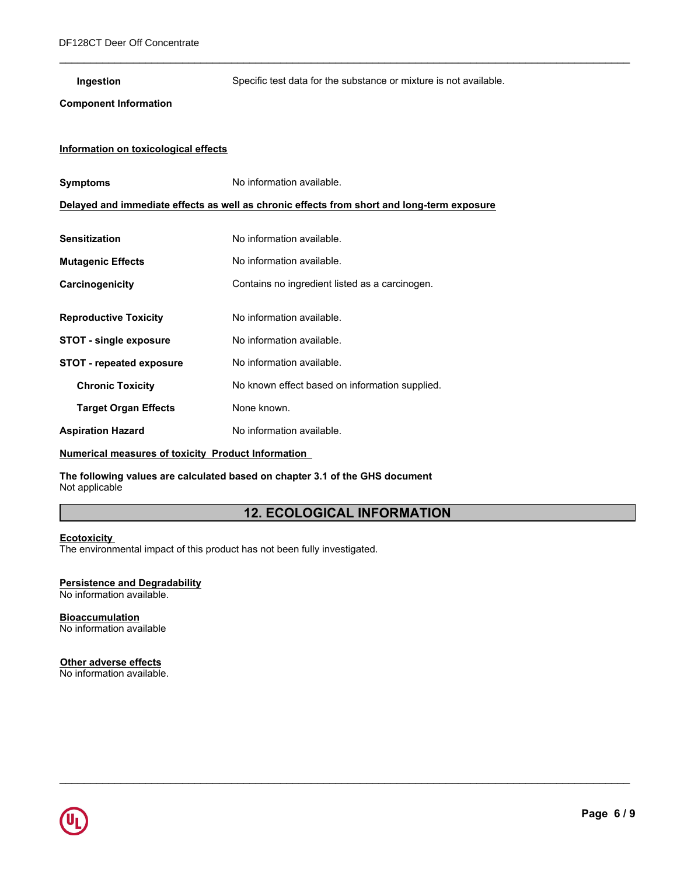| Ingestion                            | Specific test data for the substance or mixture is not available.                          |  |  |
|--------------------------------------|--------------------------------------------------------------------------------------------|--|--|
| <b>Component Information</b>         |                                                                                            |  |  |
|                                      |                                                                                            |  |  |
| Information on toxicological effects |                                                                                            |  |  |
| <b>Symptoms</b>                      | No information available.                                                                  |  |  |
|                                      | Delayed and immediate effects as well as chronic effects from short and long-term exposure |  |  |
|                                      |                                                                                            |  |  |
| <b>Sensitization</b>                 | No information available.                                                                  |  |  |
| <b>Mutagenic Effects</b>             | No information available.                                                                  |  |  |
| Carcinogenicity                      | Contains no ingredient listed as a carcinogen.                                             |  |  |
|                                      |                                                                                            |  |  |
| <b>Reproductive Toxicity</b>         | No information available.                                                                  |  |  |
| <b>STOT - single exposure</b>        | No information available.                                                                  |  |  |
| <b>STOT - repeated exposure</b>      | No information available.                                                                  |  |  |
| <b>Chronic Toxicity</b>              | No known effect based on information supplied.                                             |  |  |
| <b>Target Organ Effects</b>          | None known.                                                                                |  |  |
| <b>Aspiration Hazard</b>             | No information available.                                                                  |  |  |

## **Numerical measures of toxicity Product Information**

**The following values are calculated based on chapter 3.1 of the GHS document** Not applicable

# **12. ECOLOGICAL INFORMATION**

\_\_\_\_\_\_\_\_\_\_\_\_\_\_\_\_\_\_\_\_\_\_\_\_\_\_\_\_\_\_\_\_\_\_\_\_\_\_\_\_\_\_\_\_\_\_\_\_\_\_\_\_\_\_\_\_\_\_\_\_\_\_\_\_\_\_\_\_\_\_\_\_\_\_\_\_\_\_\_\_\_\_\_\_\_\_\_\_\_\_\_\_\_

\_\_\_\_\_\_\_\_\_\_\_\_\_\_\_\_\_\_\_\_\_\_\_\_\_\_\_\_\_\_\_\_\_\_\_\_\_\_\_\_\_\_\_\_\_\_\_\_\_\_\_\_\_\_\_\_\_\_\_\_\_\_\_\_\_\_\_\_\_\_\_\_\_\_\_\_\_\_\_\_\_\_\_\_\_\_\_\_\_\_\_\_\_

#### **Ecotoxicity**

The environmental impact of this product has not been fully investigated.

#### **Persistence and Degradability** No information available.

**Bioaccumulation** No information available

#### **Other adverse effects**

No information available.

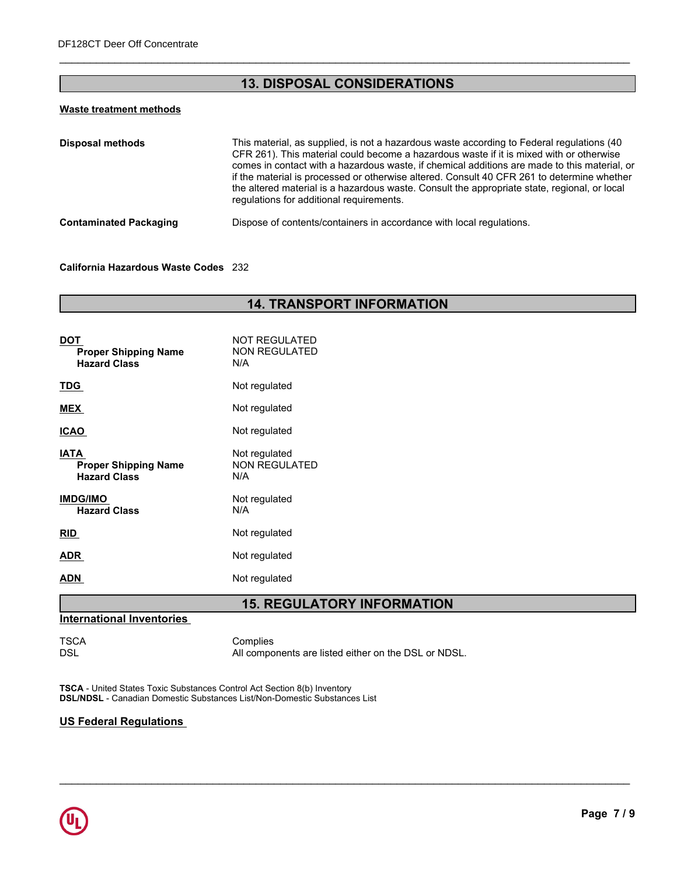# **13. DISPOSAL CONSIDERATIONS**

\_\_\_\_\_\_\_\_\_\_\_\_\_\_\_\_\_\_\_\_\_\_\_\_\_\_\_\_\_\_\_\_\_\_\_\_\_\_\_\_\_\_\_\_\_\_\_\_\_\_\_\_\_\_\_\_\_\_\_\_\_\_\_\_\_\_\_\_\_\_\_\_\_\_\_\_\_\_\_\_\_\_\_\_\_\_\_\_\_\_\_\_\_

# **Waste treatment methods**

| This material, as supplied, is not a hazardous waste according to Federal regulations (40<br>CFR 261). This material could become a hazardous waste if it is mixed with or otherwise<br>comes in contact with a hazardous waste, if chemical additions are made to this material, or<br>if the material is processed or otherwise altered. Consult 40 CFR 261 to determine whether<br>the altered material is a hazardous waste. Consult the appropriate state, regional, or local<br>regulations for additional requirements. |
|--------------------------------------------------------------------------------------------------------------------------------------------------------------------------------------------------------------------------------------------------------------------------------------------------------------------------------------------------------------------------------------------------------------------------------------------------------------------------------------------------------------------------------|
| Dispose of contents/containers in accordance with local regulations.                                                                                                                                                                                                                                                                                                                                                                                                                                                           |
|                                                                                                                                                                                                                                                                                                                                                                                                                                                                                                                                |

#### **California Hazardous Waste Codes** 232

# **14. TRANSPORT INFORMATION**

| <b>NOT REGULATED</b><br><b>NON REGULATED</b><br>N/A |
|-----------------------------------------------------|
| Not regulated                                       |
| Not regulated                                       |
| Not regulated                                       |
| Not regulated<br><b>NON REGULATED</b><br>N/A        |
| Not regulated<br>N/A                                |
| Not regulated                                       |
| Not regulated                                       |
| Not regulated                                       |
|                                                     |

# **15. REGULATORY INFORMATION**

\_\_\_\_\_\_\_\_\_\_\_\_\_\_\_\_\_\_\_\_\_\_\_\_\_\_\_\_\_\_\_\_\_\_\_\_\_\_\_\_\_\_\_\_\_\_\_\_\_\_\_\_\_\_\_\_\_\_\_\_\_\_\_\_\_\_\_\_\_\_\_\_\_\_\_\_\_\_\_\_\_\_\_\_\_\_\_\_\_\_\_\_\_

## **International Inventories**

TSCA Complies<br>DSL All compo All components are listed either on the DSL or NDSL.

**TSCA** - United States Toxic Substances Control Act Section 8(b) Inventory **DSL/NDSL** - Canadian Domestic Substances List/Non-Domestic Substances List

## **US Federal Regulations**

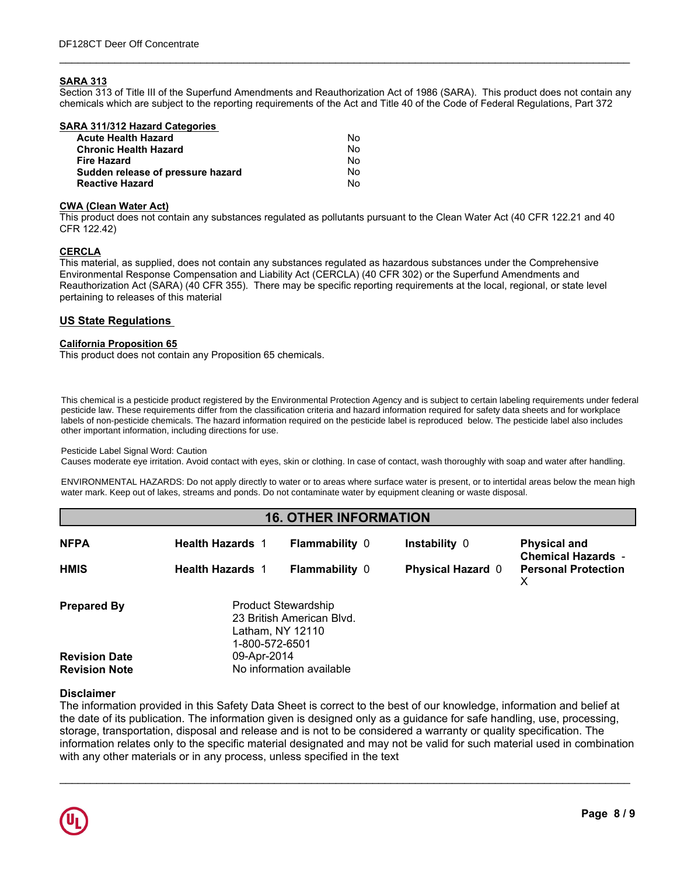#### **SARA 313**

Section 313 of Title III of the Superfund Amendments and Reauthorization Act of 1986 (SARA). This product does not contain any chemicals which are subject to the reporting requirements of the Act and Title 40 of the Code of Federal Regulations, Part 372

\_\_\_\_\_\_\_\_\_\_\_\_\_\_\_\_\_\_\_\_\_\_\_\_\_\_\_\_\_\_\_\_\_\_\_\_\_\_\_\_\_\_\_\_\_\_\_\_\_\_\_\_\_\_\_\_\_\_\_\_\_\_\_\_\_\_\_\_\_\_\_\_\_\_\_\_\_\_\_\_\_\_\_\_\_\_\_\_\_\_\_\_\_

| SARA 311/312 Hazard Categories    |    |  |
|-----------------------------------|----|--|
| <b>Acute Health Hazard</b>        | No |  |
| <b>Chronic Health Hazard</b>      | No |  |
| <b>Fire Hazard</b>                | No |  |
| Sudden release of pressure hazard | No |  |
| <b>Reactive Hazard</b>            | No |  |
|                                   |    |  |

#### **CWA (Clean Water Act)**

This product does not contain any substances regulated as pollutants pursuant to the Clean Water Act (40 CFR 122.21 and 40 CFR 122.42)

## **CERCLA**

This material, as supplied, does not contain any substances regulated as hazardous substances under the Comprehensive Environmental Response Compensation and Liability Act (CERCLA) (40 CFR 302) or the Superfund Amendments and Reauthorization Act (SARA) (40 CFR 355). There may be specific reporting requirements at the local, regional, or state level pertaining to releases of this material

#### **US State Regulations**

#### **California Proposition 65**

This product does not contain any Proposition 65 chemicals.

This chemical is a pesticide product registered by the Environmental Protection Agency and is subject to certain labeling requirements under federal other important information, including directions for use. pesticide law. These requirements differ from the classification criteria and hazard information required for safety data sheets and for workplace labels of non-pesticide chemicals. The hazard information required on the pesticide label is reproduced below. The pesticide label also includes

#### Pesticide Label Signal Word: Caution

Causes moderate eye irritation. Avoid contact with eyes, skin or clothing. In case of contact, wash thoroughly with soap and water after handling.

ENVIRONMENTAL HAZARDS: Do not apply directly to water or to areas where surface water is present, or to intertidal areas below the mean high water mark. Keep out of lakes, streams and ponds. Do not contaminate water by equipment cleaning or waste disposal.

# **16. OTHER INFORMATION**

| <b>NFPA</b>          | <b>Health Hazards 1</b>                                                                       | <b>Flammability 0</b> | Instability 0            | <b>Physical and</b><br><b>Chemical Hazards -</b> |
|----------------------|-----------------------------------------------------------------------------------------------|-----------------------|--------------------------|--------------------------------------------------|
| <b>HMIS</b>          | <b>Health Hazards 1</b>                                                                       | <b>Flammability 0</b> | <b>Physical Hazard 0</b> | <b>Personal Protection</b>                       |
| <b>Prepared By</b>   | <b>Product Stewardship</b><br>23 British American Blvd.<br>Latham, NY 12110<br>1-800-572-6501 |                       |                          |                                                  |
| <b>Revision Date</b> | 09-Apr-2014                                                                                   |                       |                          |                                                  |
| <b>Revision Note</b> | No information available                                                                      |                       |                          |                                                  |

#### **Disclaimer**

The information provided in this Safety Data Sheet is correct to the best of our knowledge, information and belief at the date of its publication. The information given is designed only as a guidance for safe handling, use, processing, storage, transportation, disposal and release and is not to be considered a warranty or quality specification. The information relates only to the specific material designated and may not be valid for such material used in combination with any other materials or in any process, unless specified in the text